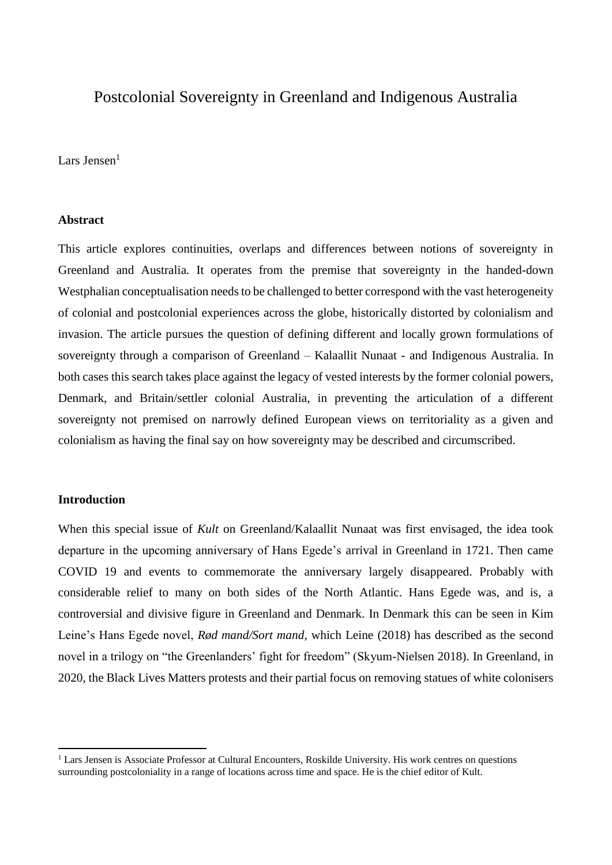# Postcolonial Sovereignty in Greenland and Indigenous Australia

Lars Jensen $<sup>1</sup>$ </sup>

## **Abstract**

This article explores continuities, overlaps and differences between notions of sovereignty in Greenland and Australia. It operates from the premise that sovereignty in the handed-down Westphalian conceptualisation needs to be challenged to better correspond with the vast heterogeneity of colonial and postcolonial experiences across the globe, historically distorted by colonialism and invasion. The article pursues the question of defining different and locally grown formulations of sovereignty through a comparison of Greenland – Kalaallit Nunaat - and Indigenous Australia. In both cases this search takes place against the legacy of vested interests by the former colonial powers, Denmark, and Britain/settler colonial Australia, in preventing the articulation of a different sovereignty not premised on narrowly defined European views on territoriality as a given and colonialism as having the final say on how sovereignty may be described and circumscribed.

## **Introduction**

1

When this special issue of *Kult* on Greenland/Kalaallit Nunaat was first envisaged, the idea took departure in the upcoming anniversary of Hans Egede's arrival in Greenland in 1721. Then came COVID 19 and events to commemorate the anniversary largely disappeared. Probably with considerable relief to many on both sides of the North Atlantic. Hans Egede was, and is, a controversial and divisive figure in Greenland and Denmark. In Denmark this can be seen in Kim Leine's Hans Egede novel, *Rød mand/Sort mand*, which Leine (2018) has described as the second novel in a trilogy on "the Greenlanders' fight for freedom" (Skyum-Nielsen 2018). In Greenland, in 2020, the Black Lives Matters protests and their partial focus on removing statues of white colonisers

 $<sup>1</sup>$  Lars Jensen is Associate Professor at Cultural Encounters, Roskilde University. His work centres on questions</sup> surrounding postcoloniality in a range of locations across time and space. He is the chief editor of Kult.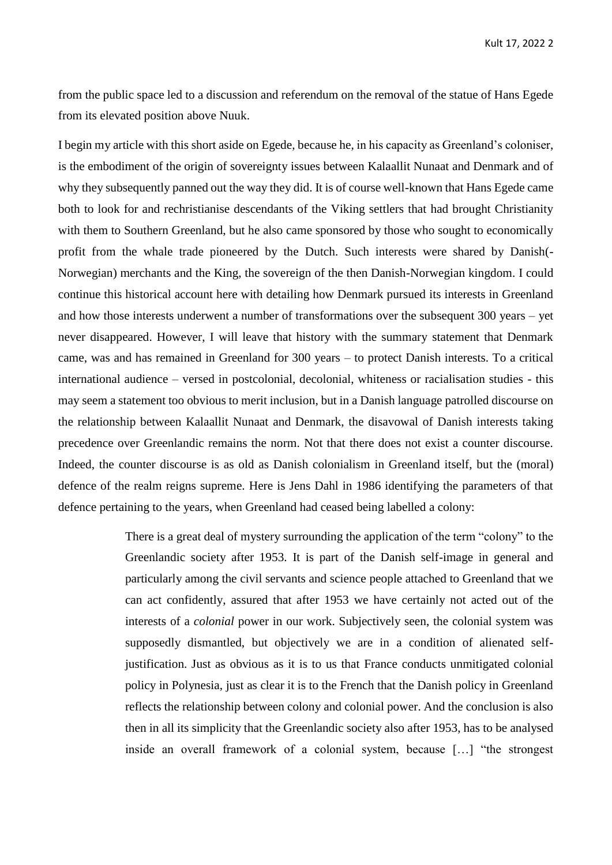from the public space led to a discussion and referendum on the removal of the statue of Hans Egede from its elevated position above Nuuk.

I begin my article with this short aside on Egede, because he, in his capacity as Greenland's coloniser, is the embodiment of the origin of sovereignty issues between Kalaallit Nunaat and Denmark and of why they subsequently panned out the way they did. It is of course well-known that Hans Egede came both to look for and rechristianise descendants of the Viking settlers that had brought Christianity with them to Southern Greenland, but he also came sponsored by those who sought to economically profit from the whale trade pioneered by the Dutch. Such interests were shared by Danish(- Norwegian) merchants and the King, the sovereign of the then Danish-Norwegian kingdom. I could continue this historical account here with detailing how Denmark pursued its interests in Greenland and how those interests underwent a number of transformations over the subsequent 300 years – yet never disappeared. However, I will leave that history with the summary statement that Denmark came, was and has remained in Greenland for 300 years – to protect Danish interests. To a critical international audience – versed in postcolonial, decolonial, whiteness or racialisation studies - this may seem a statement too obvious to merit inclusion, but in a Danish language patrolled discourse on the relationship between Kalaallit Nunaat and Denmark, the disavowal of Danish interests taking precedence over Greenlandic remains the norm. Not that there does not exist a counter discourse. Indeed, the counter discourse is as old as Danish colonialism in Greenland itself, but the (moral) defence of the realm reigns supreme. Here is Jens Dahl in 1986 identifying the parameters of that defence pertaining to the years, when Greenland had ceased being labelled a colony:

> There is a great deal of mystery surrounding the application of the term "colony" to the Greenlandic society after 1953. It is part of the Danish self-image in general and particularly among the civil servants and science people attached to Greenland that we can act confidently, assured that after 1953 we have certainly not acted out of the interests of a *colonial* power in our work. Subjectively seen, the colonial system was supposedly dismantled, but objectively we are in a condition of alienated selfjustification. Just as obvious as it is to us that France conducts unmitigated colonial policy in Polynesia, just as clear it is to the French that the Danish policy in Greenland reflects the relationship between colony and colonial power. And the conclusion is also then in all its simplicity that the Greenlandic society also after 1953, has to be analysed inside an overall framework of a colonial system, because […] "the strongest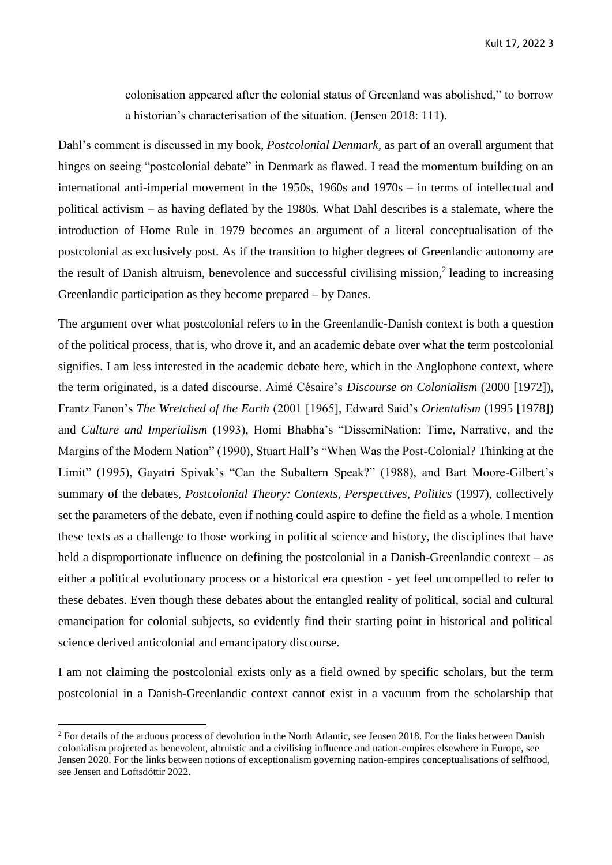colonisation appeared after the colonial status of Greenland was abolished," to borrow a historian's characterisation of the situation. (Jensen 2018: 111).

Dahl's comment is discussed in my book, *Postcolonial Denmark,* as part of an overall argument that hinges on seeing "postcolonial debate" in Denmark as flawed. I read the momentum building on an international anti-imperial movement in the 1950s, 1960s and 1970s – in terms of intellectual and political activism – as having deflated by the 1980s. What Dahl describes is a stalemate, where the introduction of Home Rule in 1979 becomes an argument of a literal conceptualisation of the postcolonial as exclusively post. As if the transition to higher degrees of Greenlandic autonomy are the result of Danish altruism, benevolence and successful civilising mission,<sup>2</sup> leading to increasing Greenlandic participation as they become prepared – by Danes.

The argument over what postcolonial refers to in the Greenlandic-Danish context is both a question of the political process, that is, who drove it, and an academic debate over what the term postcolonial signifies. I am less interested in the academic debate here, which in the Anglophone context, where the term originated, is a dated discourse. Aimé Césaire's *Discourse on Colonialism* (2000 [1972]), Frantz Fanon's *The Wretched of the Earth* (2001 [1965], Edward Said's *Orientalism* (1995 [1978]) and *Culture and Imperialism* (1993), Homi Bhabha's "DissemiNation: Time, Narrative, and the Margins of the Modern Nation" (1990), Stuart Hall's "When Was the Post-Colonial? Thinking at the Limit" (1995), Gayatri Spivak's "Can the Subaltern Speak?" (1988), and Bart Moore-Gilbert's summary of the debates, *Postcolonial Theory: Contexts, Perspectives, Politics* (1997), collectively set the parameters of the debate, even if nothing could aspire to define the field as a whole. I mention these texts as a challenge to those working in political science and history, the disciplines that have held a disproportionate influence on defining the postcolonial in a Danish-Greenlandic context – as either a political evolutionary process or a historical era question - yet feel uncompelled to refer to these debates. Even though these debates about the entangled reality of political, social and cultural emancipation for colonial subjects, so evidently find their starting point in historical and political science derived anticolonial and emancipatory discourse.

I am not claiming the postcolonial exists only as a field owned by specific scholars, but the term postcolonial in a Danish-Greenlandic context cannot exist in a vacuum from the scholarship that

 $2$  For details of the arduous process of devolution in the North Atlantic, see Jensen 2018. For the links between Danish colonialism projected as benevolent, altruistic and a civilising influence and nation-empires elsewhere in Europe, see Jensen 2020. For the links between notions of exceptionalism governing nation-empires conceptualisations of selfhood, see Jensen and Loftsdóttir 2022.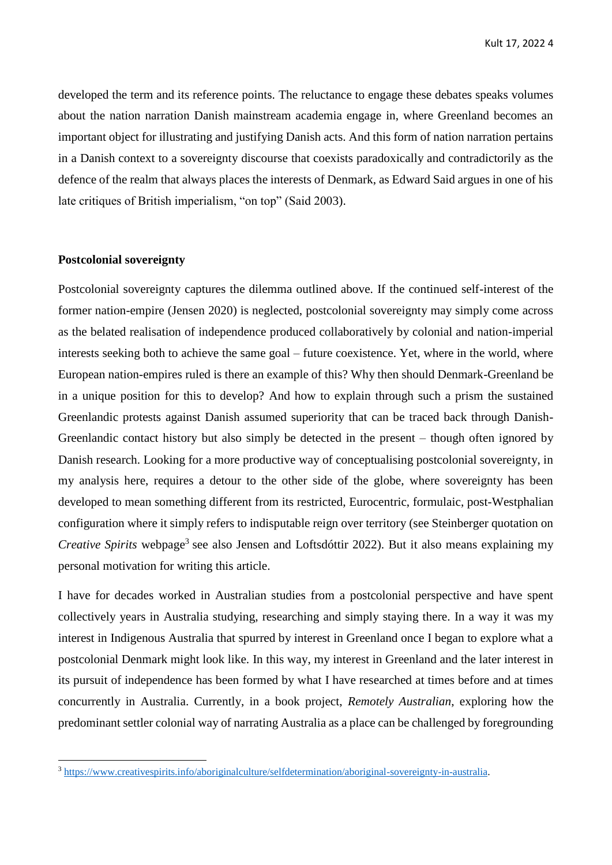developed the term and its reference points. The reluctance to engage these debates speaks volumes about the nation narration Danish mainstream academia engage in, where Greenland becomes an important object for illustrating and justifying Danish acts. And this form of nation narration pertains in a Danish context to a sovereignty discourse that coexists paradoxically and contradictorily as the defence of the realm that always places the interests of Denmark, as Edward Said argues in one of his late critiques of British imperialism, "on top" (Said 2003).

#### **Postcolonial sovereignty**

**.** 

Postcolonial sovereignty captures the dilemma outlined above. If the continued self-interest of the former nation-empire (Jensen 2020) is neglected, postcolonial sovereignty may simply come across as the belated realisation of independence produced collaboratively by colonial and nation-imperial interests seeking both to achieve the same goal – future coexistence. Yet, where in the world, where European nation-empires ruled is there an example of this? Why then should Denmark-Greenland be in a unique position for this to develop? And how to explain through such a prism the sustained Greenlandic protests against Danish assumed superiority that can be traced back through Danish-Greenlandic contact history but also simply be detected in the present – though often ignored by Danish research. Looking for a more productive way of conceptualising postcolonial sovereignty, in my analysis here, requires a detour to the other side of the globe, where sovereignty has been developed to mean something different from its restricted, Eurocentric, formulaic, post-Westphalian configuration where it simply refers to indisputable reign over territory (see Steinberger quotation on *Creative Spirits* webpage<sup>3</sup> see also Jensen and Loftsdóttir 2022). But it also means explaining my personal motivation for writing this article.

I have for decades worked in Australian studies from a postcolonial perspective and have spent collectively years in Australia studying, researching and simply staying there. In a way it was my interest in Indigenous Australia that spurred by interest in Greenland once I began to explore what a postcolonial Denmark might look like. In this way, my interest in Greenland and the later interest in its pursuit of independence has been formed by what I have researched at times before and at times concurrently in Australia. Currently, in a book project, *Remotely Australian*, exploring how the predominant settler colonial way of narrating Australia as a place can be challenged by foregrounding

<sup>3</sup> [https://www.creativespirits.info/aboriginalculture/selfdetermination/aboriginal-sovereignty-in-australia.](https://www.creativespirits.info/aboriginalculture/selfdetermination/aboriginal-sovereignty-in-australia)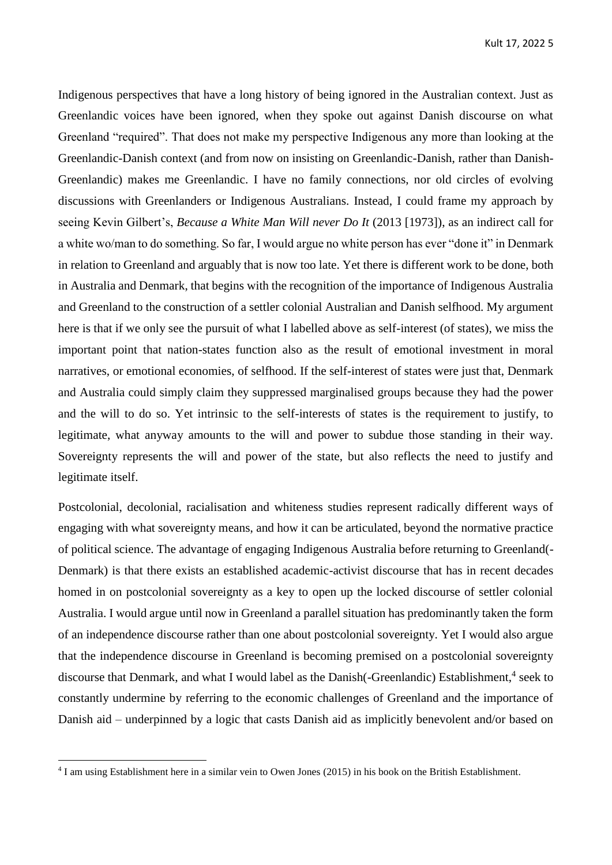Indigenous perspectives that have a long history of being ignored in the Australian context. Just as Greenlandic voices have been ignored, when they spoke out against Danish discourse on what Greenland "required". That does not make my perspective Indigenous any more than looking at the Greenlandic-Danish context (and from now on insisting on Greenlandic-Danish, rather than Danish-Greenlandic) makes me Greenlandic. I have no family connections, nor old circles of evolving discussions with Greenlanders or Indigenous Australians. Instead, I could frame my approach by seeing Kevin Gilbert's, *Because a White Man Will never Do It* (2013 [1973]), as an indirect call for a white wo/man to do something. So far, I would argue no white person has ever "done it" in Denmark in relation to Greenland and arguably that is now too late. Yet there is different work to be done, both in Australia and Denmark, that begins with the recognition of the importance of Indigenous Australia and Greenland to the construction of a settler colonial Australian and Danish selfhood. My argument here is that if we only see the pursuit of what I labelled above as self-interest (of states), we miss the important point that nation-states function also as the result of emotional investment in moral narratives, or emotional economies, of selfhood. If the self-interest of states were just that, Denmark and Australia could simply claim they suppressed marginalised groups because they had the power and the will to do so. Yet intrinsic to the self-interests of states is the requirement to justify, to legitimate, what anyway amounts to the will and power to subdue those standing in their way. Sovereignty represents the will and power of the state, but also reflects the need to justify and legitimate itself.

Postcolonial, decolonial, racialisation and whiteness studies represent radically different ways of engaging with what sovereignty means, and how it can be articulated, beyond the normative practice of political science. The advantage of engaging Indigenous Australia before returning to Greenland(- Denmark) is that there exists an established academic-activist discourse that has in recent decades homed in on postcolonial sovereignty as a key to open up the locked discourse of settler colonial Australia. I would argue until now in Greenland a parallel situation has predominantly taken the form of an independence discourse rather than one about postcolonial sovereignty. Yet I would also argue that the independence discourse in Greenland is becoming premised on a postcolonial sovereignty discourse that Denmark, and what I would label as the Danish (-Greenlandic) Establishment,<sup>4</sup> seek to constantly undermine by referring to the economic challenges of Greenland and the importance of Danish aid – underpinned by a logic that casts Danish aid as implicitly benevolent and/or based on

<sup>4</sup> I am using Establishment here in a similar vein to Owen Jones (2015) in his book on the British Establishment.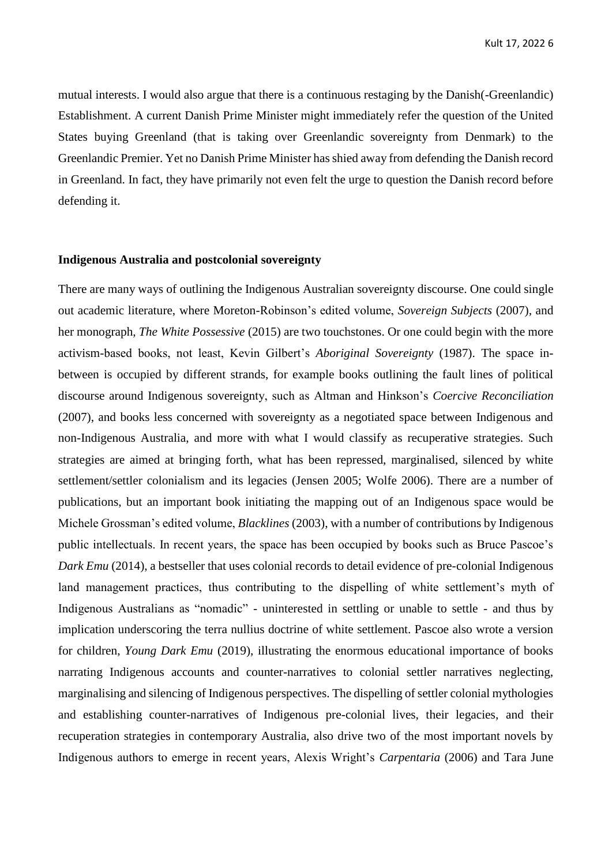mutual interests. I would also argue that there is a continuous restaging by the Danish(-Greenlandic) Establishment. A current Danish Prime Minister might immediately refer the question of the United States buying Greenland (that is taking over Greenlandic sovereignty from Denmark) to the Greenlandic Premier. Yet no Danish Prime Minister has shied away from defending the Danish record in Greenland. In fact, they have primarily not even felt the urge to question the Danish record before defending it.

#### **Indigenous Australia and postcolonial sovereignty**

There are many ways of outlining the Indigenous Australian sovereignty discourse. One could single out academic literature, where Moreton-Robinson's edited volume, *Sovereign Subjects* (2007), and her monograph, *The White Possessive* (2015) are two touchstones. Or one could begin with the more activism-based books, not least, Kevin Gilbert's *Aboriginal Sovereignty* (1987). The space inbetween is occupied by different strands, for example books outlining the fault lines of political discourse around Indigenous sovereignty, such as Altman and Hinkson's *Coercive Reconciliation* (2007), and books less concerned with sovereignty as a negotiated space between Indigenous and non-Indigenous Australia, and more with what I would classify as recuperative strategies. Such strategies are aimed at bringing forth, what has been repressed, marginalised, silenced by white settlement/settler colonialism and its legacies (Jensen 2005; Wolfe 2006). There are a number of publications, but an important book initiating the mapping out of an Indigenous space would be Michele Grossman's edited volume, *Blacklines* (2003), with a number of contributions by Indigenous public intellectuals. In recent years, the space has been occupied by books such as Bruce Pascoe's *Dark Emu* (2014), a bestseller that uses colonial records to detail evidence of pre-colonial Indigenous land management practices, thus contributing to the dispelling of white settlement's myth of Indigenous Australians as "nomadic" - uninterested in settling or unable to settle - and thus by implication underscoring the terra nullius doctrine of white settlement. Pascoe also wrote a version for children, *Young Dark Emu* (2019), illustrating the enormous educational importance of books narrating Indigenous accounts and counter-narratives to colonial settler narratives neglecting, marginalising and silencing of Indigenous perspectives. The dispelling of settler colonial mythologies and establishing counter-narratives of Indigenous pre-colonial lives, their legacies, and their recuperation strategies in contemporary Australia, also drive two of the most important novels by Indigenous authors to emerge in recent years, Alexis Wright's *Carpentaria* (2006) and Tara June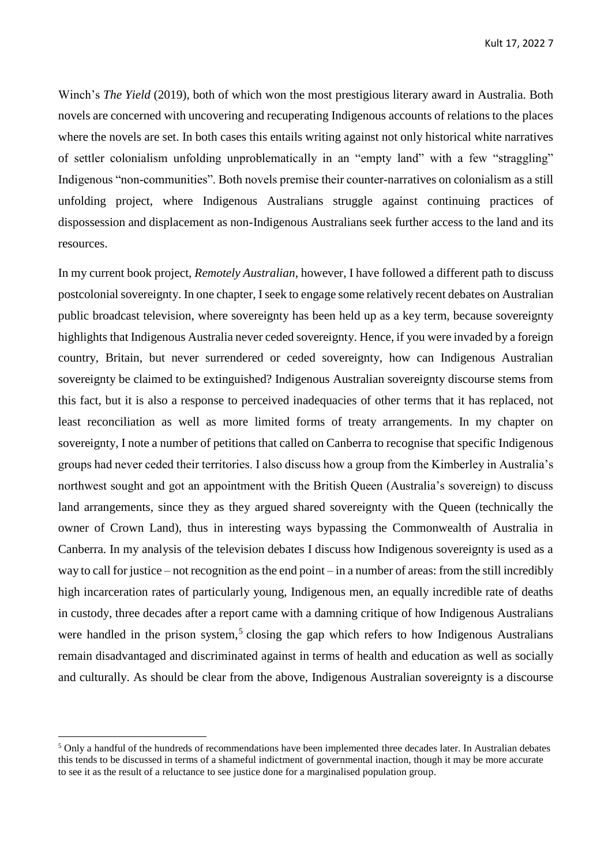Winch's *The Yield* (2019), both of which won the most prestigious literary award in Australia. Both novels are concerned with uncovering and recuperating Indigenous accounts of relations to the places where the novels are set. In both cases this entails writing against not only historical white narratives of settler colonialism unfolding unproblematically in an "empty land" with a few "straggling" Indigenous "non-communities". Both novels premise their counter-narratives on colonialism as a still unfolding project, where Indigenous Australians struggle against continuing practices of dispossession and displacement as non-Indigenous Australians seek further access to the land and its resources.

In my current book project, *Remotely Australian*, however, I have followed a different path to discuss postcolonial sovereignty. In one chapter, Iseek to engage some relatively recent debates on Australian public broadcast television, where sovereignty has been held up as a key term, because sovereignty highlights that Indigenous Australia never ceded sovereignty. Hence, if you were invaded by a foreign country, Britain, but never surrendered or ceded sovereignty, how can Indigenous Australian sovereignty be claimed to be extinguished? Indigenous Australian sovereignty discourse stems from this fact, but it is also a response to perceived inadequacies of other terms that it has replaced, not least reconciliation as well as more limited forms of treaty arrangements. In my chapter on sovereignty, I note a number of petitions that called on Canberra to recognise that specific Indigenous groups had never ceded their territories. I also discuss how a group from the Kimberley in Australia's northwest sought and got an appointment with the British Queen (Australia's sovereign) to discuss land arrangements, since they as they argued shared sovereignty with the Queen (technically the owner of Crown Land), thus in interesting ways bypassing the Commonwealth of Australia in Canberra. In my analysis of the television debates I discuss how Indigenous sovereignty is used as a way to call for justice – not recognition as the end point – in a number of areas: from the still incredibly high incarceration rates of particularly young, Indigenous men, an equally incredible rate of deaths in custody, three decades after a report came with a damning critique of how Indigenous Australians were handled in the prison system,<sup>5</sup> closing the gap which refers to how Indigenous Australians remain disadvantaged and discriminated against in terms of health and education as well as socially and culturally. As should be clear from the above, Indigenous Australian sovereignty is a discourse

<sup>5</sup> Only a handful of the hundreds of recommendations have been implemented three decades later. In Australian debates this tends to be discussed in terms of a shameful indictment of governmental inaction, though it may be more accurate to see it as the result of a reluctance to see justice done for a marginalised population group.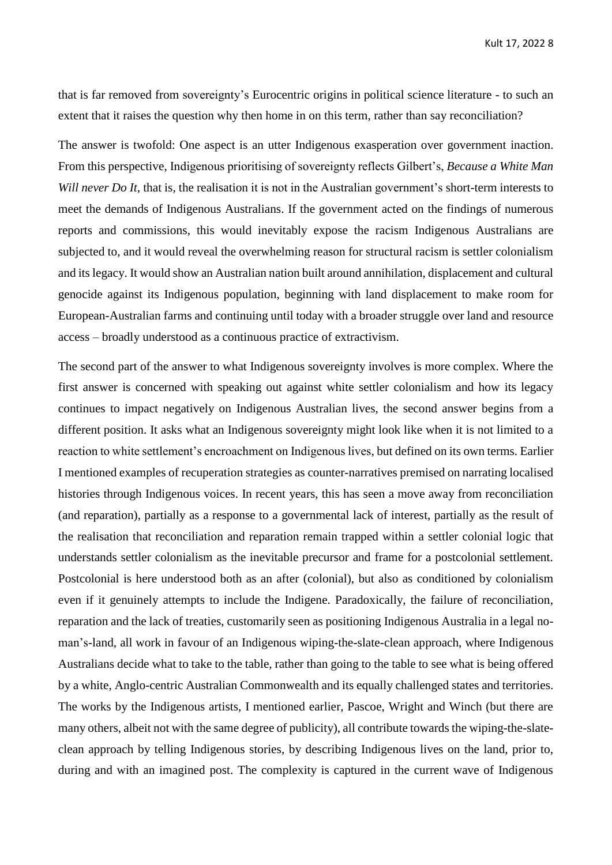that is far removed from sovereignty's Eurocentric origins in political science literature - to such an extent that it raises the question why then home in on this term, rather than say reconciliation?

The answer is twofold: One aspect is an utter Indigenous exasperation over government inaction. From this perspective, Indigenous prioritising of sovereignty reflects Gilbert's, *Because a White Man Will never Do It*, that is, the realisation it is not in the Australian government's short-term interests to meet the demands of Indigenous Australians. If the government acted on the findings of numerous reports and commissions, this would inevitably expose the racism Indigenous Australians are subjected to, and it would reveal the overwhelming reason for structural racism is settler colonialism and its legacy. It would show an Australian nation built around annihilation, displacement and cultural genocide against its Indigenous population, beginning with land displacement to make room for European-Australian farms and continuing until today with a broader struggle over land and resource access – broadly understood as a continuous practice of extractivism.

The second part of the answer to what Indigenous sovereignty involves is more complex. Where the first answer is concerned with speaking out against white settler colonialism and how its legacy continues to impact negatively on Indigenous Australian lives, the second answer begins from a different position. It asks what an Indigenous sovereignty might look like when it is not limited to a reaction to white settlement's encroachment on Indigenous lives, but defined on its own terms. Earlier I mentioned examples of recuperation strategies as counter-narratives premised on narrating localised histories through Indigenous voices. In recent years, this has seen a move away from reconciliation (and reparation), partially as a response to a governmental lack of interest, partially as the result of the realisation that reconciliation and reparation remain trapped within a settler colonial logic that understands settler colonialism as the inevitable precursor and frame for a postcolonial settlement. Postcolonial is here understood both as an after (colonial), but also as conditioned by colonialism even if it genuinely attempts to include the Indigene. Paradoxically, the failure of reconciliation, reparation and the lack of treaties, customarily seen as positioning Indigenous Australia in a legal noman's-land, all work in favour of an Indigenous wiping-the-slate-clean approach, where Indigenous Australians decide what to take to the table, rather than going to the table to see what is being offered by a white, Anglo-centric Australian Commonwealth and its equally challenged states and territories. The works by the Indigenous artists, I mentioned earlier, Pascoe, Wright and Winch (but there are many others, albeit not with the same degree of publicity), all contribute towards the wiping-the-slateclean approach by telling Indigenous stories, by describing Indigenous lives on the land, prior to, during and with an imagined post. The complexity is captured in the current wave of Indigenous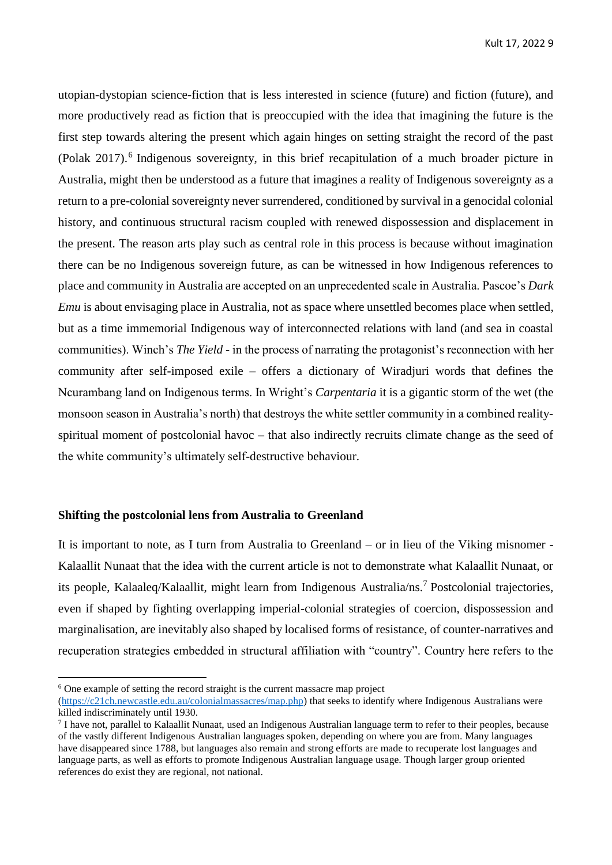utopian-dystopian science-fiction that is less interested in science (future) and fiction (future), and more productively read as fiction that is preoccupied with the idea that imagining the future is the first step towards altering the present which again hinges on setting straight the record of the past (Polak 2017).<sup>6</sup> Indigenous sovereignty, in this brief recapitulation of a much broader picture in Australia, might then be understood as a future that imagines a reality of Indigenous sovereignty as a return to a pre-colonial sovereignty never surrendered, conditioned by survival in a genocidal colonial history, and continuous structural racism coupled with renewed dispossession and displacement in the present. The reason arts play such as central role in this process is because without imagination there can be no Indigenous sovereign future, as can be witnessed in how Indigenous references to place and community in Australia are accepted on an unprecedented scale in Australia. Pascoe's *Dark Emu* is about envisaging place in Australia, not as space where unsettled becomes place when settled, but as a time immemorial Indigenous way of interconnected relations with land (and sea in coastal communities). Winch's *The Yield* - in the process of narrating the protagonist's reconnection with her community after self-imposed exile – offers a dictionary of Wiradjuri words that defines the Ncurambang land on Indigenous terms. In Wright's *Carpentaria* it is a gigantic storm of the wet (the monsoon season in Australia's north) that destroys the white settler community in a combined realityspiritual moment of postcolonial havoc – that also indirectly recruits climate change as the seed of the white community's ultimately self-destructive behaviour.

#### **Shifting the postcolonial lens from Australia to Greenland**

It is important to note, as I turn from Australia to Greenland – or in lieu of the Viking misnomer - Kalaallit Nunaat that the idea with the current article is not to demonstrate what Kalaallit Nunaat, or its people, Kalaaleq/Kalaallit, might learn from Indigenous Australia/ns.<sup>7</sup> Postcolonial trajectories, even if shaped by fighting overlapping imperial-colonial strategies of coercion, dispossession and marginalisation, are inevitably also shaped by localised forms of resistance, of counter-narratives and recuperation strategies embedded in structural affiliation with "country". Country here refers to the

1

<sup>&</sup>lt;sup>6</sup> One example of setting the record straight is the current massacre map project

[<sup>\(</sup>https://c21ch.newcastle.edu.au/colonialmassacres/map.php\)](https://c21ch.newcastle.edu.au/colonialmassacres/map.php) that seeks to identify where Indigenous Australians were killed indiscriminately until 1930.

 $7$  I have not, parallel to Kalaallit Nunaat, used an Indigenous Australian language term to refer to their peoples, because of the vastly different Indigenous Australian languages spoken, depending on where you are from. Many languages have disappeared since 1788, but languages also remain and strong efforts are made to recuperate lost languages and language parts, as well as efforts to promote Indigenous Australian language usage. Though larger group oriented references do exist they are regional, not national.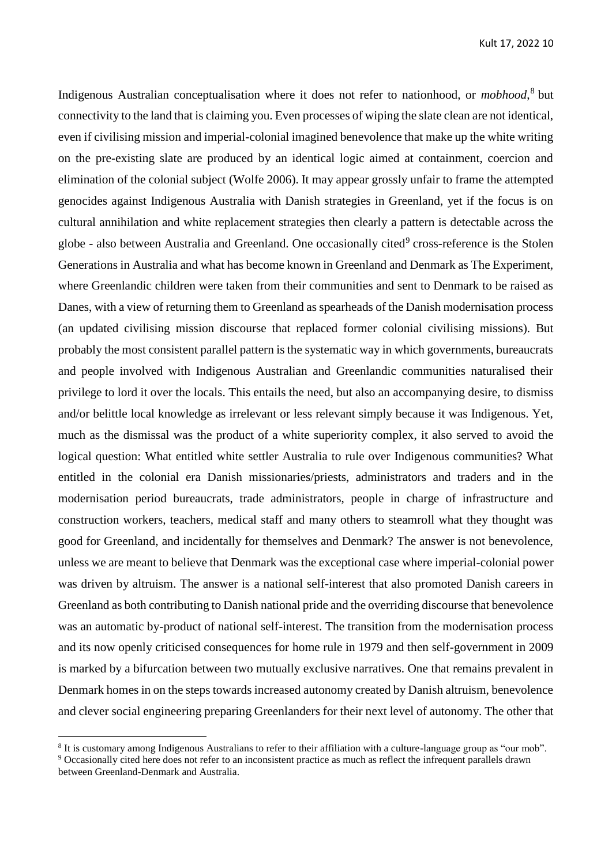Indigenous Australian conceptualisation where it does not refer to nationhood, or *mobhood*, 8 but connectivity to the land that is claiming you. Even processes of wiping the slate clean are not identical, even if civilising mission and imperial-colonial imagined benevolence that make up the white writing on the pre-existing slate are produced by an identical logic aimed at containment, coercion and elimination of the colonial subject (Wolfe 2006). It may appear grossly unfair to frame the attempted genocides against Indigenous Australia with Danish strategies in Greenland, yet if the focus is on cultural annihilation and white replacement strategies then clearly a pattern is detectable across the globe - also between Australia and Greenland. One occasionally cited<sup>9</sup> cross-reference is the Stolen Generations in Australia and what has become known in Greenland and Denmark as The Experiment, where Greenlandic children were taken from their communities and sent to Denmark to be raised as Danes, with a view of returning them to Greenland as spearheads of the Danish modernisation process (an updated civilising mission discourse that replaced former colonial civilising missions). But probably the most consistent parallel pattern is the systematic way in which governments, bureaucrats and people involved with Indigenous Australian and Greenlandic communities naturalised their privilege to lord it over the locals. This entails the need, but also an accompanying desire, to dismiss and/or belittle local knowledge as irrelevant or less relevant simply because it was Indigenous. Yet, much as the dismissal was the product of a white superiority complex, it also served to avoid the logical question: What entitled white settler Australia to rule over Indigenous communities? What entitled in the colonial era Danish missionaries/priests, administrators and traders and in the modernisation period bureaucrats, trade administrators, people in charge of infrastructure and construction workers, teachers, medical staff and many others to steamroll what they thought was good for Greenland, and incidentally for themselves and Denmark? The answer is not benevolence, unless we are meant to believe that Denmark was the exceptional case where imperial-colonial power was driven by altruism. The answer is a national self-interest that also promoted Danish careers in Greenland as both contributing to Danish national pride and the overriding discourse that benevolence was an automatic by-product of national self-interest. The transition from the modernisation process and its now openly criticised consequences for home rule in 1979 and then self-government in 2009 is marked by a bifurcation between two mutually exclusive narratives. One that remains prevalent in Denmark homes in on the steps towards increased autonomy created by Danish altruism, benevolence and clever social engineering preparing Greenlanders for their next level of autonomy. The other that

<sup>8</sup> It is customary among Indigenous Australians to refer to their affiliation with a culture-language group as "our mob".

<sup>&</sup>lt;sup>9</sup> Occasionally cited here does not refer to an inconsistent practice as much as reflect the infrequent parallels drawn between Greenland-Denmark and Australia.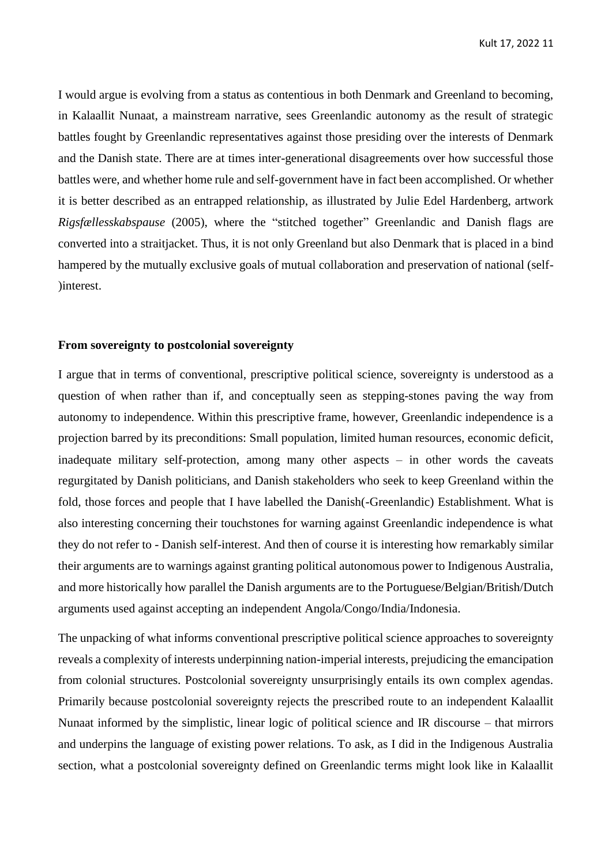I would argue is evolving from a status as contentious in both Denmark and Greenland to becoming, in Kalaallit Nunaat, a mainstream narrative, sees Greenlandic autonomy as the result of strategic battles fought by Greenlandic representatives against those presiding over the interests of Denmark and the Danish state. There are at times inter-generational disagreements over how successful those battles were, and whether home rule and self-government have in fact been accomplished. Or whether it is better described as an entrapped relationship, as illustrated by Julie Edel Hardenberg, artwork *Rigsfællesskabspause* (2005), where the "stitched together" Greenlandic and Danish flags are converted into a straitjacket. Thus, it is not only Greenland but also Denmark that is placed in a bind hampered by the mutually exclusive goals of mutual collaboration and preservation of national (self- )interest.

#### **From sovereignty to postcolonial sovereignty**

I argue that in terms of conventional, prescriptive political science, sovereignty is understood as a question of when rather than if, and conceptually seen as stepping-stones paving the way from autonomy to independence. Within this prescriptive frame, however, Greenlandic independence is a projection barred by its preconditions: Small population, limited human resources, economic deficit, inadequate military self-protection, among many other aspects – in other words the caveats regurgitated by Danish politicians, and Danish stakeholders who seek to keep Greenland within the fold, those forces and people that I have labelled the Danish(-Greenlandic) Establishment. What is also interesting concerning their touchstones for warning against Greenlandic independence is what they do not refer to - Danish self-interest. And then of course it is interesting how remarkably similar their arguments are to warnings against granting political autonomous power to Indigenous Australia, and more historically how parallel the Danish arguments are to the Portuguese/Belgian/British/Dutch arguments used against accepting an independent Angola/Congo/India/Indonesia.

The unpacking of what informs conventional prescriptive political science approaches to sovereignty reveals a complexity of interests underpinning nation-imperial interests, prejudicing the emancipation from colonial structures. Postcolonial sovereignty unsurprisingly entails its own complex agendas. Primarily because postcolonial sovereignty rejects the prescribed route to an independent Kalaallit Nunaat informed by the simplistic, linear logic of political science and IR discourse – that mirrors and underpins the language of existing power relations. To ask, as I did in the Indigenous Australia section, what a postcolonial sovereignty defined on Greenlandic terms might look like in Kalaallit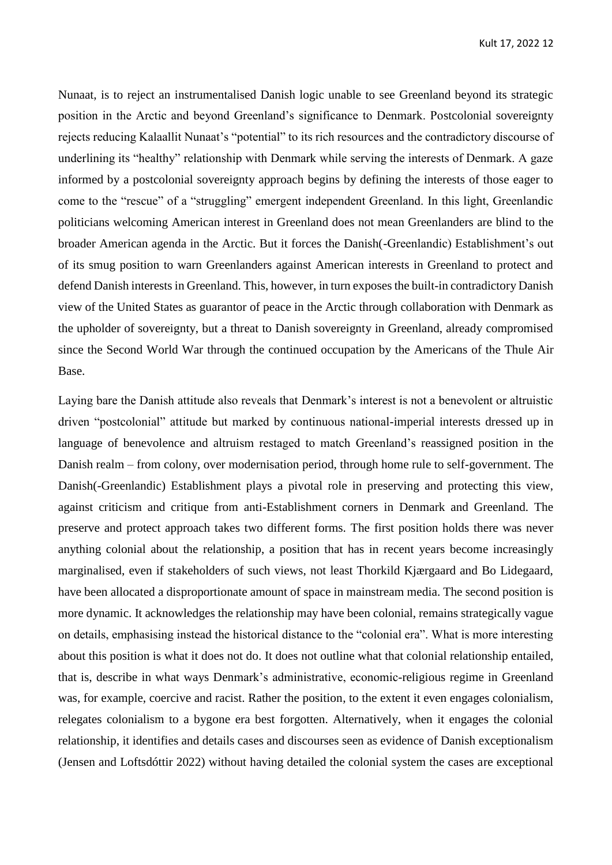Nunaat, is to reject an instrumentalised Danish logic unable to see Greenland beyond its strategic position in the Arctic and beyond Greenland's significance to Denmark. Postcolonial sovereignty rejects reducing Kalaallit Nunaat's "potential" to its rich resources and the contradictory discourse of underlining its "healthy" relationship with Denmark while serving the interests of Denmark. A gaze informed by a postcolonial sovereignty approach begins by defining the interests of those eager to come to the "rescue" of a "struggling" emergent independent Greenland. In this light, Greenlandic politicians welcoming American interest in Greenland does not mean Greenlanders are blind to the broader American agenda in the Arctic. But it forces the Danish(-Greenlandic) Establishment's out of its smug position to warn Greenlanders against American interests in Greenland to protect and defend Danish interests in Greenland. This, however, in turn exposes the built-in contradictory Danish view of the United States as guarantor of peace in the Arctic through collaboration with Denmark as the upholder of sovereignty, but a threat to Danish sovereignty in Greenland, already compromised since the Second World War through the continued occupation by the Americans of the Thule Air Base.

Laying bare the Danish attitude also reveals that Denmark's interest is not a benevolent or altruistic driven "postcolonial" attitude but marked by continuous national-imperial interests dressed up in language of benevolence and altruism restaged to match Greenland's reassigned position in the Danish realm – from colony, over modernisation period, through home rule to self-government. The Danish(-Greenlandic) Establishment plays a pivotal role in preserving and protecting this view, against criticism and critique from anti-Establishment corners in Denmark and Greenland. The preserve and protect approach takes two different forms. The first position holds there was never anything colonial about the relationship, a position that has in recent years become increasingly marginalised, even if stakeholders of such views, not least Thorkild Kjærgaard and Bo Lidegaard, have been allocated a disproportionate amount of space in mainstream media. The second position is more dynamic. It acknowledges the relationship may have been colonial, remains strategically vague on details, emphasising instead the historical distance to the "colonial era". What is more interesting about this position is what it does not do. It does not outline what that colonial relationship entailed, that is, describe in what ways Denmark's administrative, economic-religious regime in Greenland was, for example, coercive and racist. Rather the position, to the extent it even engages colonialism, relegates colonialism to a bygone era best forgotten. Alternatively, when it engages the colonial relationship, it identifies and details cases and discourses seen as evidence of Danish exceptionalism (Jensen and Loftsdóttir 2022) without having detailed the colonial system the cases are exceptional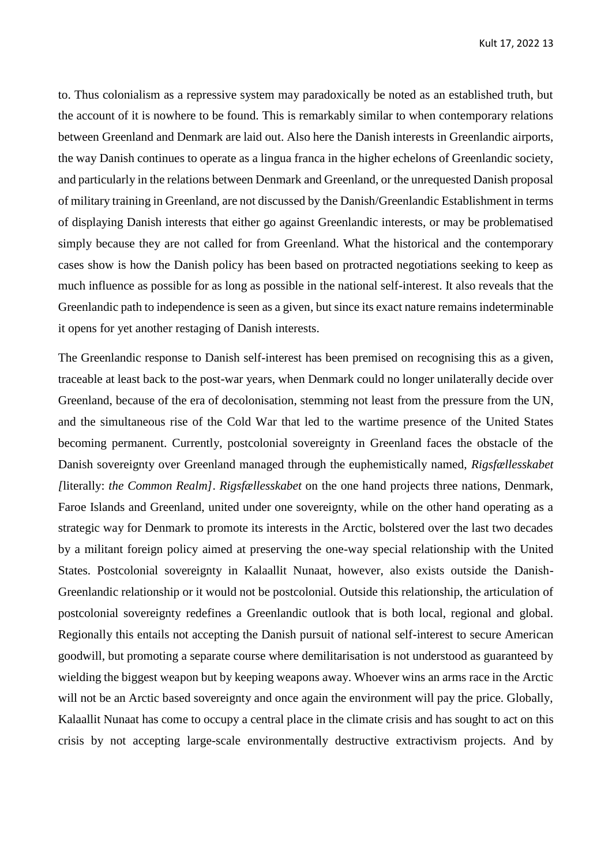to. Thus colonialism as a repressive system may paradoxically be noted as an established truth, but the account of it is nowhere to be found. This is remarkably similar to when contemporary relations between Greenland and Denmark are laid out. Also here the Danish interests in Greenlandic airports, the way Danish continues to operate as a lingua franca in the higher echelons of Greenlandic society, and particularly in the relations between Denmark and Greenland, or the unrequested Danish proposal of military training in Greenland, are not discussed by the Danish/Greenlandic Establishment in terms of displaying Danish interests that either go against Greenlandic interests, or may be problematised simply because they are not called for from Greenland. What the historical and the contemporary cases show is how the Danish policy has been based on protracted negotiations seeking to keep as much influence as possible for as long as possible in the national self-interest. It also reveals that the Greenlandic path to independence is seen as a given, but since its exact nature remains indeterminable it opens for yet another restaging of Danish interests.

The Greenlandic response to Danish self-interest has been premised on recognising this as a given, traceable at least back to the post-war years, when Denmark could no longer unilaterally decide over Greenland, because of the era of decolonisation, stemming not least from the pressure from the UN, and the simultaneous rise of the Cold War that led to the wartime presence of the United States becoming permanent. Currently, postcolonial sovereignty in Greenland faces the obstacle of the Danish sovereignty over Greenland managed through the euphemistically named, *Rigsfællesskabet [*literally: *the Common Realm]*. *Rigsfællesskabet* on the one hand projects three nations, Denmark, Faroe Islands and Greenland, united under one sovereignty, while on the other hand operating as a strategic way for Denmark to promote its interests in the Arctic, bolstered over the last two decades by a militant foreign policy aimed at preserving the one-way special relationship with the United States. Postcolonial sovereignty in Kalaallit Nunaat, however, also exists outside the Danish-Greenlandic relationship or it would not be postcolonial. Outside this relationship, the articulation of postcolonial sovereignty redefines a Greenlandic outlook that is both local, regional and global. Regionally this entails not accepting the Danish pursuit of national self-interest to secure American goodwill, but promoting a separate course where demilitarisation is not understood as guaranteed by wielding the biggest weapon but by keeping weapons away. Whoever wins an arms race in the Arctic will not be an Arctic based sovereignty and once again the environment will pay the price. Globally, Kalaallit Nunaat has come to occupy a central place in the climate crisis and has sought to act on this crisis by not accepting large-scale environmentally destructive extractivism projects. And by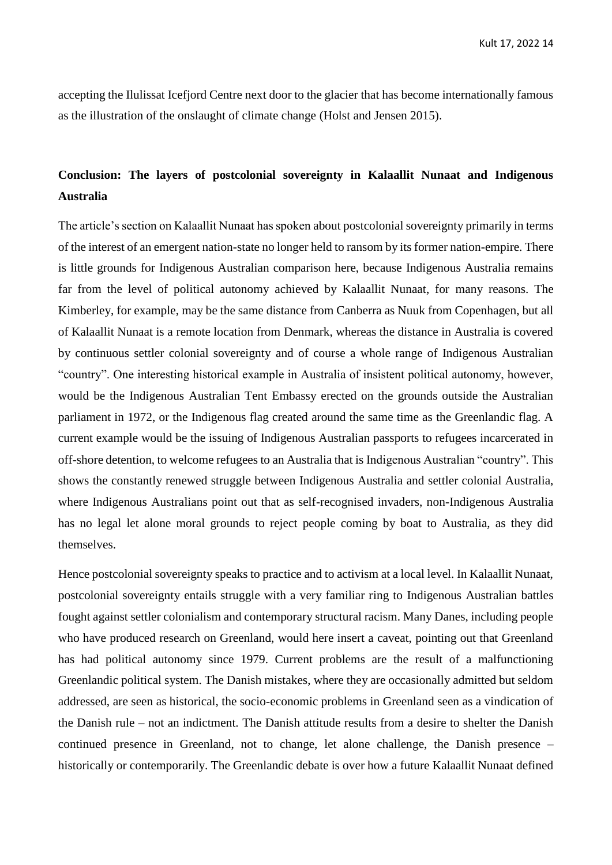accepting the Ilulissat Icefjord Centre next door to the glacier that has become internationally famous as the illustration of the onslaught of climate change (Holst and Jensen 2015).

## **Conclusion: The layers of postcolonial sovereignty in Kalaallit Nunaat and Indigenous Australia**

The article's section on Kalaallit Nunaat has spoken about postcolonial sovereignty primarily in terms of the interest of an emergent nation-state no longer held to ransom by its former nation-empire. There is little grounds for Indigenous Australian comparison here, because Indigenous Australia remains far from the level of political autonomy achieved by Kalaallit Nunaat, for many reasons. The Kimberley, for example, may be the same distance from Canberra as Nuuk from Copenhagen, but all of Kalaallit Nunaat is a remote location from Denmark, whereas the distance in Australia is covered by continuous settler colonial sovereignty and of course a whole range of Indigenous Australian "country". One interesting historical example in Australia of insistent political autonomy, however, would be the Indigenous Australian Tent Embassy erected on the grounds outside the Australian parliament in 1972, or the Indigenous flag created around the same time as the Greenlandic flag. A current example would be the issuing of Indigenous Australian passports to refugees incarcerated in off-shore detention, to welcome refugees to an Australia that is Indigenous Australian "country". This shows the constantly renewed struggle between Indigenous Australia and settler colonial Australia, where Indigenous Australians point out that as self-recognised invaders, non-Indigenous Australia has no legal let alone moral grounds to reject people coming by boat to Australia, as they did themselves.

Hence postcolonial sovereignty speaks to practice and to activism at a local level. In Kalaallit Nunaat, postcolonial sovereignty entails struggle with a very familiar ring to Indigenous Australian battles fought against settler colonialism and contemporary structural racism. Many Danes, including people who have produced research on Greenland, would here insert a caveat, pointing out that Greenland has had political autonomy since 1979. Current problems are the result of a malfunctioning Greenlandic political system. The Danish mistakes, where they are occasionally admitted but seldom addressed, are seen as historical, the socio-economic problems in Greenland seen as a vindication of the Danish rule – not an indictment. The Danish attitude results from a desire to shelter the Danish continued presence in Greenland, not to change, let alone challenge, the Danish presence – historically or contemporarily. The Greenlandic debate is over how a future Kalaallit Nunaat defined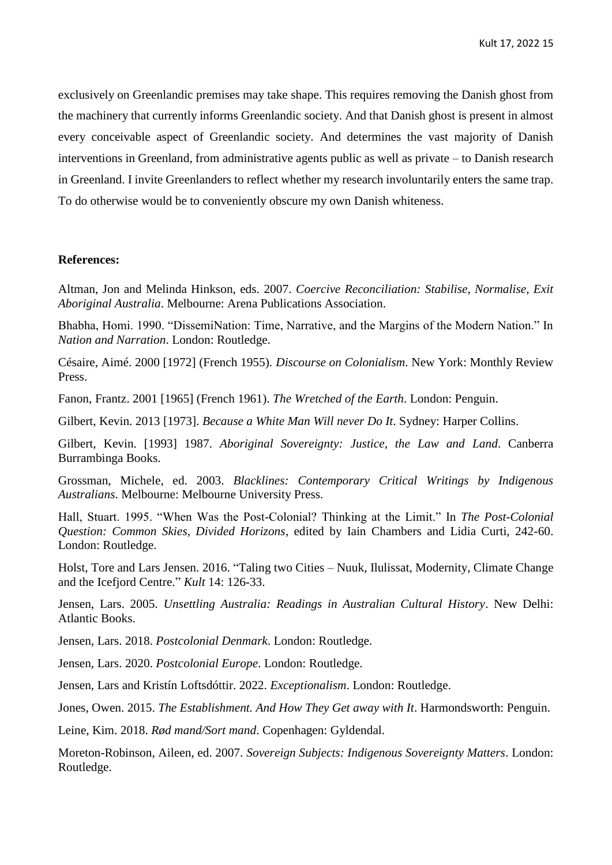exclusively on Greenlandic premises may take shape. This requires removing the Danish ghost from the machinery that currently informs Greenlandic society. And that Danish ghost is present in almost every conceivable aspect of Greenlandic society. And determines the vast majority of Danish interventions in Greenland, from administrative agents public as well as private – to Danish research in Greenland. I invite Greenlanders to reflect whether my research involuntarily enters the same trap. To do otherwise would be to conveniently obscure my own Danish whiteness.

#### **References:**

Altman, Jon and Melinda Hinkson, eds. 2007. *Coercive Reconciliation: Stabilise, Normalise, Exit Aboriginal Australia*. Melbourne: Arena Publications Association.

Bhabha, Homi. 1990. "DissemiNation: Time, Narrative, and the Margins of the Modern Nation." In *Nation and Narration*. London: Routledge.

Césaire, Aimé. 2000 [1972] (French 1955). *Discourse on Colonialism*. New York: Monthly Review Press.

Fanon, Frantz. 2001 [1965] (French 1961). *The Wretched of the Earth*. London: Penguin.

Gilbert, Kevin. 2013 [1973]. *Because a White Man Will never Do It*. Sydney: Harper Collins.

Gilbert, Kevin. [1993] 1987. *Aboriginal Sovereignty: Justice, the Law and Land*. Canberra Burrambinga Books.

Grossman, Michele, ed. 2003. *Blacklines: Contemporary Critical Writings by Indigenous Australians*. Melbourne: Melbourne University Press.

Hall, Stuart. 1995. "When Was the Post-Colonial? Thinking at the Limit." In *The Post-Colonial Question: Common Skies, Divided Horizons*, edited by Iain Chambers and Lidia Curti, 242-60. London: Routledge.

Holst, Tore and Lars Jensen. 2016. "Taling two Cities – Nuuk, Ilulissat, Modernity, Climate Change and the Icefjord Centre." *Kult* 14: 126-33.

Jensen, Lars. 2005. *Unsettling Australia: Readings in Australian Cultural History*. New Delhi: Atlantic Books.

Jensen, Lars. 2018. *Postcolonial Denmark*. London: Routledge.

Jensen, Lars. 2020. *Postcolonial Europe*. London: Routledge.

Jensen, Lars and Kristín Loftsdóttir. 2022. *Exceptionalism*. London: Routledge.

Jones, Owen. 2015. *The Establishment. And How They Get away with It*. Harmondsworth: Penguin.

Leine, Kim. 2018. *Rød mand/Sort mand*. Copenhagen: Gyldendal.

Moreton-Robinson, Aileen, ed. 2007. *Sovereign Subjects: Indigenous Sovereignty Matters*. London: Routledge.